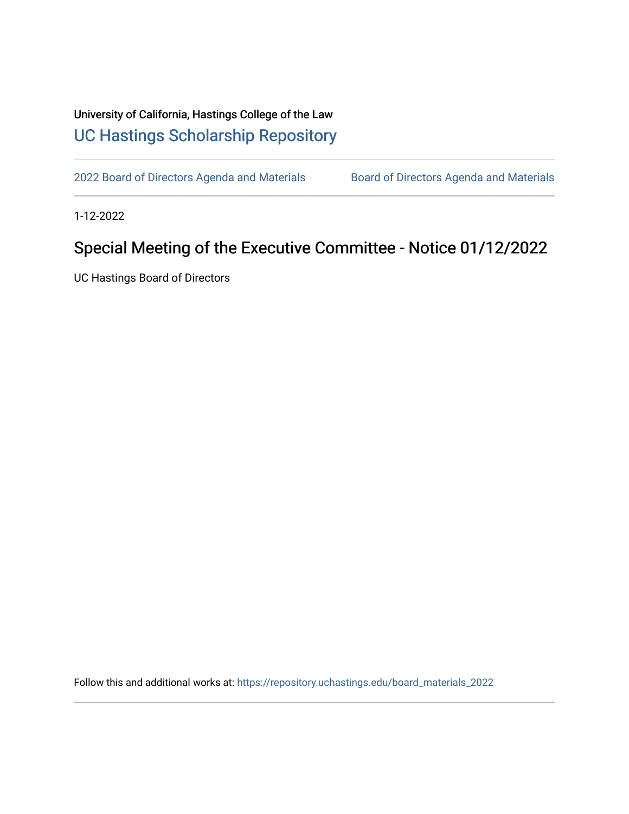## University of California, Hastings College of the Law [UC Hastings Scholarship Repository](https://repository.uchastings.edu/)

[2022 Board of Directors Agenda and Materials](https://repository.uchastings.edu/board_materials_2022) Board of Directors Agenda and Materials

1-12-2022

## Special Meeting of the Executive Committee - Notice 01/12/2022

UC Hastings Board of Directors

Follow this and additional works at: [https://repository.uchastings.edu/board\\_materials\\_2022](https://repository.uchastings.edu/board_materials_2022?utm_source=repository.uchastings.edu%2Fboard_materials_2022%2F4&utm_medium=PDF&utm_campaign=PDFCoverPages)